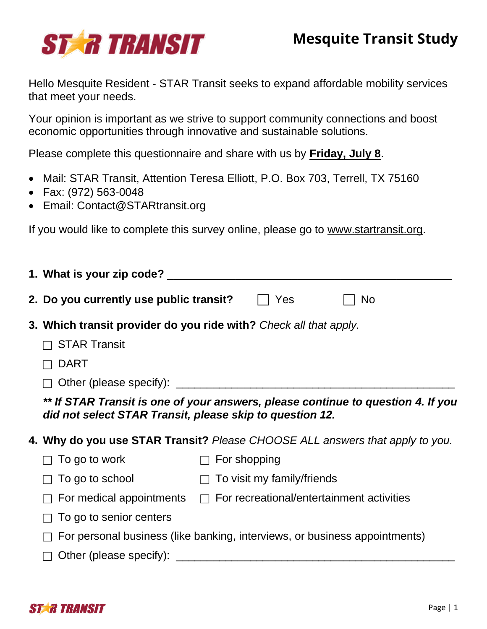

Hello Mesquite Resident - STAR Transit seeks to expand affordable mobility services that meet your needs.

Your opinion is important as we strive to support community connections and boost economic opportunities through innovative and sustainable solutions.

Please complete this questionnaire and share with us by **Friday, July 8**.

- Mail: STAR Transit, Attention Teresa Elliott, P.O. Box 703, Terrell, TX 75160
- Fax: (972) 563-0048
- Email: [Contact@STARtransit.org](mailto:Contact@STARtransit.org)

If you would like to complete this survey online, please go to [www.startransit.org.](http://www.startransit.org/)

|                                                                            | 2. Do you currently use public transit?                                                                                                      |              | Yes                        | <b>No</b>                                        |  |
|----------------------------------------------------------------------------|----------------------------------------------------------------------------------------------------------------------------------------------|--------------|----------------------------|--------------------------------------------------|--|
|                                                                            | 3. Which transit provider do you ride with? Check all that apply.                                                                            |              |                            |                                                  |  |
|                                                                            | <b>STAR Transit</b>                                                                                                                          |              |                            |                                                  |  |
|                                                                            | <b>DART</b>                                                                                                                                  |              |                            |                                                  |  |
|                                                                            |                                                                                                                                              |              |                            |                                                  |  |
|                                                                            | ** If STAR Transit is one of your answers, please continue to question 4. If you<br>did not select STAR Transit, please skip to question 12. |              |                            |                                                  |  |
|                                                                            | 4. Why do you use STAR Transit? Please CHOOSE ALL answers that apply to you.                                                                 |              |                            |                                                  |  |
|                                                                            | To go to work                                                                                                                                | For shopping |                            |                                                  |  |
|                                                                            | To go to school                                                                                                                              | $\Box$       | To visit my family/friends |                                                  |  |
|                                                                            | For medical appointments                                                                                                                     |              |                            | $\Box$ For recreational/entertainment activities |  |
|                                                                            | To go to senior centers                                                                                                                      |              |                            |                                                  |  |
| For personal business (like banking, interviews, or business appointments) |                                                                                                                                              |              |                            |                                                  |  |
|                                                                            | Other (please specify):                                                                                                                      |              |                            |                                                  |  |

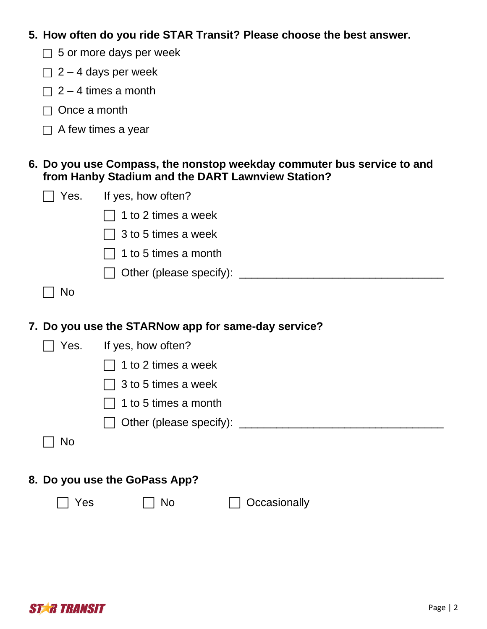**5. How often do you ride STAR Transit? Please choose the best answer.**

- $\Box$  5 or more days per week
- $\Box$  2 4 days per week
- $\Box$  2 4 times a month
- $\Box$  Once a month
- $\Box$  A few times a year

## **6. Do you use Compass, the nonstop weekday commuter bus service to and from Hanby Stadium and the DART Lawnview Station?**

| Yes.                                                | If yes, how often?            |  |  |  |
|-----------------------------------------------------|-------------------------------|--|--|--|
|                                                     | 1 to 2 times a week           |  |  |  |
|                                                     | 3 to 5 times a week           |  |  |  |
|                                                     | 1 to 5 times a month          |  |  |  |
|                                                     |                               |  |  |  |
| <b>No</b>                                           |                               |  |  |  |
|                                                     |                               |  |  |  |
| 7. Do you use the STARNow app for same-day service? |                               |  |  |  |
| Yes.                                                | If yes, how often?            |  |  |  |
|                                                     | 1 to 2 times a week           |  |  |  |
|                                                     | 3 to 5 times a week           |  |  |  |
|                                                     | 1 to 5 times a month          |  |  |  |
|                                                     |                               |  |  |  |
| No                                                  |                               |  |  |  |
|                                                     |                               |  |  |  |
|                                                     | 8. Do you use the GoPass App? |  |  |  |
| Yes                                                 | <b>No</b><br>Occasionally     |  |  |  |

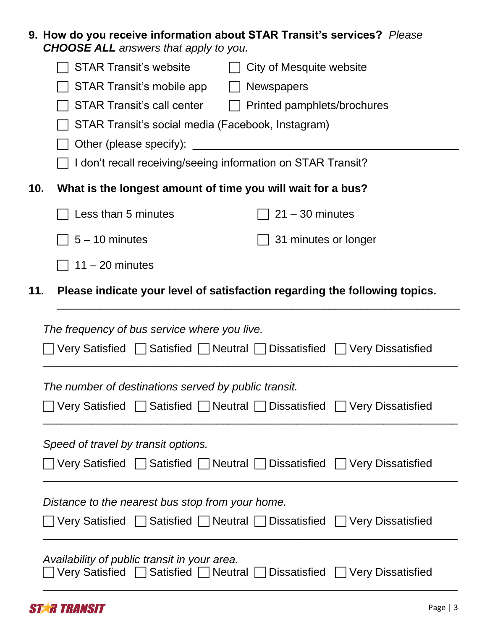|                                                                                                                  | 9. How do you receive information about STAR Transit's services? Please<br><b>CHOOSE ALL</b> answers that apply to you. |                                                      |  |  |  |  |
|------------------------------------------------------------------------------------------------------------------|-------------------------------------------------------------------------------------------------------------------------|------------------------------------------------------|--|--|--|--|
|                                                                                                                  | <b>STAR Transit's website</b><br>$\Box$                                                                                 | City of Mesquite website                             |  |  |  |  |
|                                                                                                                  | STAR Transit's mobile app<br>$\perp$                                                                                    | <b>Newspapers</b>                                    |  |  |  |  |
|                                                                                                                  | STAR Transit's call center<br>$\perp$                                                                                   | Printed pamphlets/brochures                          |  |  |  |  |
|                                                                                                                  | STAR Transit's social media (Facebook, Instagram)                                                                       |                                                      |  |  |  |  |
|                                                                                                                  |                                                                                                                         |                                                      |  |  |  |  |
|                                                                                                                  | I don't recall receiving/seeing information on STAR Transit?                                                            |                                                      |  |  |  |  |
| 10.<br>What is the longest amount of time you will wait for a bus?                                               |                                                                                                                         |                                                      |  |  |  |  |
|                                                                                                                  | Less than 5 minutes                                                                                                     | $21 - 30$ minutes                                    |  |  |  |  |
|                                                                                                                  | $5 - 10$ minutes                                                                                                        | 31 minutes or longer                                 |  |  |  |  |
|                                                                                                                  | $11 - 20$ minutes                                                                                                       |                                                      |  |  |  |  |
| 11.                                                                                                              | Please indicate your level of satisfaction regarding the following topics.                                              |                                                      |  |  |  |  |
| The frequency of bus service where you live.<br>Very Satisfied Satisfied Neutral Dissatisfied DVery Dissatisfied |                                                                                                                         |                                                      |  |  |  |  |
|                                                                                                                  | The number of destinations served by public transit.                                                                    |                                                      |  |  |  |  |
|                                                                                                                  | <b>Very Satisfied</b>                                                                                                   | □ Satisfied DNeutral Dissatisfied DVery Dissatisfied |  |  |  |  |
| Speed of travel by transit options.                                                                              |                                                                                                                         |                                                      |  |  |  |  |
|                                                                                                                  | Very Satisfied     Satisfied     Neutral     Dissatisfied     Very Dissatisfied                                         |                                                      |  |  |  |  |
| Distance to the nearest bus stop from your home.                                                                 |                                                                                                                         |                                                      |  |  |  |  |
|                                                                                                                  | Very Satisfied                                                                                                          |                                                      |  |  |  |  |
|                                                                                                                  |                                                                                                                         | □ Satisfied DNeutral Dissatisfied DVery Dissatisfied |  |  |  |  |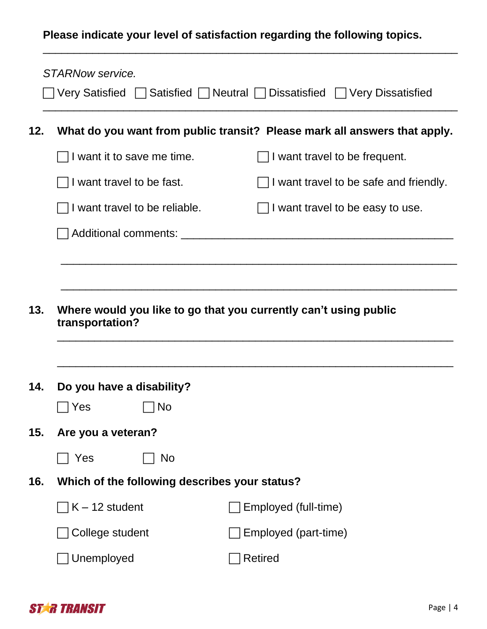## **Please indicate your level of satisfaction regarding the following topics.**

\_\_\_\_\_\_\_\_\_\_\_\_\_\_\_\_\_\_\_\_\_\_\_\_\_\_\_\_\_\_\_\_\_\_\_\_\_\_\_\_\_\_\_\_\_\_\_\_\_\_\_\_\_\_\_\_\_\_\_\_\_\_\_\_\_\_\_

|     | STARNow service.                                                          | Very Satisfied $\Box$ Satisfied $\Box$ Neutral $\Box$ Dissatisfied $\Box$ Very Dissatisfied |  |  |  |
|-----|---------------------------------------------------------------------------|---------------------------------------------------------------------------------------------|--|--|--|
| 12. | What do you want from public transit? Please mark all answers that apply. |                                                                                             |  |  |  |
|     | I want it to save me time.                                                | $\Box$ I want travel to be frequent.                                                        |  |  |  |
|     | I want travel to be fast.                                                 | I want travel to be safe and friendly.                                                      |  |  |  |
|     | I want travel to be reliable.                                             | I want travel to be easy to use.                                                            |  |  |  |
|     |                                                                           |                                                                                             |  |  |  |
|     |                                                                           |                                                                                             |  |  |  |
|     |                                                                           |                                                                                             |  |  |  |
| 13. | transportation?                                                           | Where would you like to go that you currently can't using public                            |  |  |  |
| 14. | Do you have a disability?                                                 |                                                                                             |  |  |  |
|     | <b>No</b><br>Yes                                                          |                                                                                             |  |  |  |
| 15. | Are you a veteran?                                                        |                                                                                             |  |  |  |
|     | Yes<br>No                                                                 |                                                                                             |  |  |  |
| 16. | Which of the following describes your status?                             |                                                                                             |  |  |  |
|     | $K - 12$ student                                                          | Employed (full-time)                                                                        |  |  |  |
|     | College student                                                           | Employed (part-time)                                                                        |  |  |  |
|     | Unemployed                                                                | <b>Retired</b>                                                                              |  |  |  |